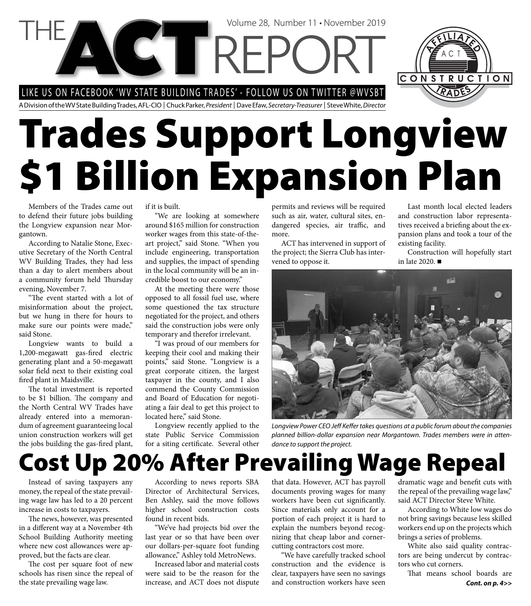LIKE US ON FACEBOOK 'WV STATE BUILDING TRADES' - FOLLOW US ON TWITTER @WVSBT

**NGT REPC** 

A Division of the WV State Building Trades, AFL-CIO | Chuck Parker, President | Dave Efaw, Secretary-Treasurer | Steve White, Director

# **Trades Support Longview \$1 Billion Expansion Plan**

Members of the Trades came out to defend their future jobs building the Longview expansion near Morgantown.

According to Natalie Stone, Executive Secretary of the North Central WV Building Trades, they had less than a day to alert members about a community forum held Thursday evening, November 7.

"The event started with a lot of misinformation about the project, but we hung in there for hours to make sure our points were made," said Stone.

Longview wants to build a 1,200-megawatt gas-fired electric generating plant and a 50-megawatt solar field next to their existing coal fired plant in Maidsville.

The total investment is reported to be \$1 billion. The company and the North Central WV Trades have already entered into a memorandum of agreement guaranteeing local union construction workers will get the jobs building the gas-fired plant,

if it is built.

"We are looking at somewhere around \$165 million for construction worker wages from this state-of-theart project," said Stone. "When you include engineering, transportation and supplies, the impact of spending in the local community will be an incredible boost to our economy."

At the meeting there were those opposed to all fossil fuel use, where some questioned the tax structure negotiated for the project, and others said the construction jobs were only temporary and therefor irrelevant.

"I was proud of our members for keeping their cool and making their points," said Stone. "Longview is a great corporate citizen, the largest taxpayer in the county, and I also commend the County Commission and Board of Education for negotiating a fair deal to get this project to located here," said Stone.

Longview recently applied to the state Public Service Commission for a siting certificate. Several other permits and reviews will be required such as air, water, cultural sites, endangered species, air traffic, and more.

Volume 28, Number 11 • November 2019

ACT has intervened in support of the project; the Sierra Club has intervened to oppose it.

Last month local elected leaders and construction labor representatives received a briefing about the expansion plans and took a tour of the existing facility.

CONSTRUCTION

Construction will hopefully start in late 2020.



Longview Power CEO Jeff Keffer takes questions at a public forum about the companies planned billion-dollar expansion near Morgantown. Trades members were in attendance to support the project.

# **Cost Up 20% After Prevailing Wage Repeal**

Instead of saving taxpayers any money, the repeal of the state prevailing wage law has led to a 20 percent increase in costs to taxpayers.

The news, however, was presented in a different way at a November 4th School Building Authority meeting where new cost allowances were approved, but the facts are clear.

The cost per square foot of new schools has risen since the repeal of the state prevailing wage law.

According to news reports SBA Director of Architectural Services, Ben Ashley, said the move follows higher school construction costs found in recent bids.

"We've had projects bid over the last year or so that have been over our dollars-per-square foot funding allowance," Ashley told MetroNews.

Increased labor and material costs were said to be the reason for the increase, and ACT does not dispute

that data. However, ACT has payroll documents proving wages for many workers have been cut significantly. Since materials only account for a portion of each project it is hard to explain the numbers beyond recognizing that cheap labor and cornercutting contractors cost more.

"We have carefully tracked school construction and the evidence is clear, taxpayers have seen no savings and construction workers have seen

dramatic wage and benefit cuts with the repeal of the prevailing wage law," said ACT Director Steve White.

According to White low wages do not bring savings because less skilled workers end up on the projects which brings a series of problems.

White also said quality contractors are being undercut by contractors who cut corners.

That means school boards are *Cont. on p. 4>>*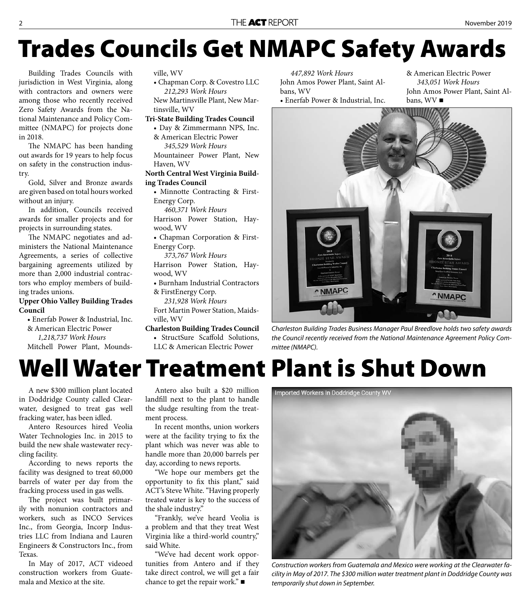# **Trades Councils Get NMAPC Safety Awards**

Building Trades Councils with jurisdiction in West Virginia, along with contractors and owners were among those who recently received Zero Safety Awards from the National Maintenance and Policy Committee (NMAPC) for projects done in 2018.

The NMAPC has been handing out awards for 19 years to help focus on safety in the construction industry.

Gold, Silver and Bronze awards are given based on total hours worked without an injury.

In addition, Councils received awards for smaller projects and for projects in surrounding states.

The NMAPC negotiates and administers the National Maintenance Agreements, a series of collective bargaining agreements utilized by more than 2,000 industrial contractors who employ members of building trades unions.

### **Upper Ohio Valley Building Trades Council**

• Enerfab Power & Industrial, Inc. & American Electric Power

*1,218,737 Work Hours*

Mitchell Power Plant, Mounds-

ville, WV

• Chapman Corp. & Covestro LLC  *212,293 Work Hours*

New Martinsville Plant, New Martinsville, WV

#### **Tri-State Building Trades Council**

- Day & Zimmermann NPS, Inc. & American Electric Power
- *345,529 Work Hours* Mountaineer Power Plant, New Haven, WV

### **North Central West Virginia Building Trades Council**

• Minnotte Contracting & First-Energy Corp.

 *460,371 Work Hours*

Harrison Power Station, Haywood, WV

• Chapman Corporation & First-Energy Corp.

 *373,767 Work Hours* Harrison Power Station, Hay-

- wood, WV
- Burnham Industrial Contractors & FirstEnergy Corp.
- *231,928 Work Hours*

Fort Martin Power Station, Maidsville, WV

**Charleston Building Trades Council** • StructSure Scaffold Solutions, LLC & American Electric Power

 *447,892 Work Hours* John Amos Power Plant, Saint Albans, WV • Enerfab Power & Industrial, Inc.

& American Electric Power  *343,051 Work Hours* John Amos Power Plant, Saint Albans, WV



Charleston Building Trades Business Manager Paul Breedlove holds two safety awards the Council recently received from the National Maintenance Agreement Policy Committee (NMAPC).

# **Well Water Treatment Plant is Shut Down**

A new \$300 million plant located in Doddridge County called Clearwater, designed to treat gas well fracking water, has been idled.

Antero Resources hired Veolia Water Technologies Inc. in 2015 to build the new shale wastewater recycling facility.

According to news reports the facility was designed to treat 60,000 barrels of water per day from the fracking process used in gas wells.

The project was built primarily with nonunion contractors and workers, such as INCO Services Inc., from Georgia, Incorp Industries LLC from Indiana and Lauren Engineers & Constructors Inc., from Texas.

In May of 2017, ACT videoed construction workers from Guatemala and Mexico at the site.

Antero also built a \$20 million landfill next to the plant to handle the sludge resulting from the treatment process.

In recent months, union workers were at the facility trying to fix the plant which was never was able to handle more than 20,000 barrels per day, according to news reports.

"We hope our members get the opportunity to fix this plant," said ACT's Steve White. "Having properly treated water is key to the success of the shale industry."

"Frankly, we've heard Veolia is a problem and that they treat West Virginia like a third-world country," said White.

"We've had decent work opportunities from Antero and if they take direct control, we will get a fair chance to get the repair work." $\blacksquare$ 



Construction workers from Guatemala and Mexico were working at the Clearwater facility in May of 2017. The \$300 million water treatment plant in Doddridge County was temporarily shut down in September.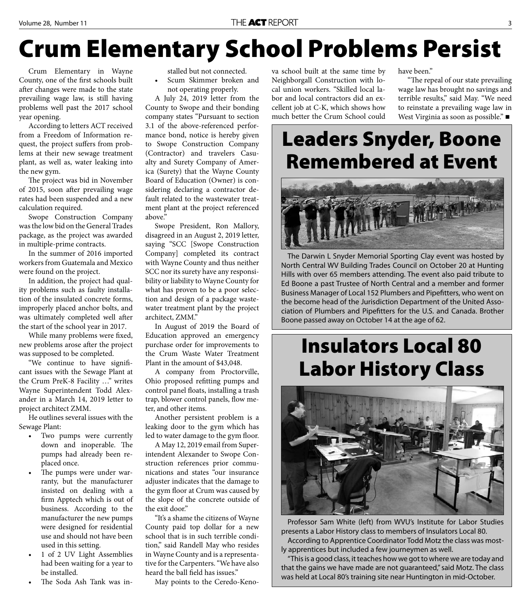# **Crum Elementary School Problems Persist**

Crum Elementary in Wayne County, one of the first schools built after changes were made to the state prevailing wage law, is still having problems well past the 2017 school year opening.

According to letters ACT received from a Freedom of Information request, the project suffers from problems at their new sewage treatment plant, as well as, water leaking into the new gym.

The project was bid in November of 2015, soon after prevailing wage rates had been suspended and a new calculation required.

Swope Construction Company was the low bid on the General Trades package, as the project was awarded in multiple-prime contracts.

In the summer of 2016 imported workers from Guatemala and Mexico were found on the project.

In addition, the project had quality problems such as faulty installation of the insulated concrete forms, improperly placed anchor bolts, and was ultimately completed well after the start of the school year in 2017.

While many problems were fixed, new problems arose after the project was supposed to be completed.

"We continue to have significant issues with the Sewage Plant at the Crum PreK-8 Facility …" writes Wayne Superintendent Todd Alexander in a March 14, 2019 letter to project architect ZMM.

He outlines several issues with the Sewage Plant:

- Two pumps were currently down and inoperable. The pumps had already been replaced once.
- The pumps were under warranty, but the manufacturer insisted on dealing with a firm Apptech which is out of business. According to the manufacturer the new pumps were designed for residential use and should not have been used in this setting.
- 1 of 2 UV Light Assemblies had been waiting for a year to be installed.
- The Soda Ash Tank was in-

stalled but not connected.

Scum Skimmer broken and not operating properly.

A July 24, 2019 letter from the County to Swope and their bonding company states "Pursuant to section 3.1 of the above-referenced performance bond, notice is hereby given to Swope Construction Company (Contractor) and travelers Casualty and Surety Company of America (Surety) that the Wayne County Board of Education (Owner) is considering declaring a contractor default related to the wastewater treatment plant at the project referenced above."

Swope President, Ron Mallory, disagreed in an August 2, 2019 letter, saying "SCC [Swope Construction Company] completed its contract with Wayne County and thus neither SCC nor its surety have any responsibility or liability to Wayne County for what has proven to be a poor selection and design of a package wastewater treatment plant by the project architect, ZMM."

In August of 2019 the Board of Education approved an emergency purchase order for improvements to the Crum Waste Water Treatment Plant in the amount of \$43,048.

A company from Proctorville, Ohio proposed refitting pumps and control panel floats, installing a trash trap, blower control panels, flow meter, and other items.

Another persistent problem is a leaking door to the gym which has led to water damage to the gym floor.

A May 12, 2019 email from Superintendent Alexander to Swope Construction references prior communications and states "our insurance adjuster indicates that the damage to the gym floor at Crum was caused by the slope of the concrete outside of the exit door."

"It's a shame the citizens of Wayne County paid top dollar for a new school that is in such terrible condition," said Randell May who resides in Wayne County and is a representative for the Carpenters. "We have also heard the ball field has issues."

May points to the Ceredo-Keno-

va school built at the same time by Neighborgall Construction with local union workers. "Skilled local labor and local contractors did an excellent job at C-K, which shows how much better the Crum School could

have been."

"The repeal of our state prevailing wage law has brought no savings and terrible results," said May. "We need to reinstate a prevailing wage law in West Virginia as soon as possible." ■

### **Leaders Snyder, Boone Remembered at Event**



The Darwin L Snyder Memorial Sporting Clay event was hosted by North Central WV Building Trades Council on October 20 at Hunting Hills with over 65 members attending. The event also paid tribute to Ed Boone a past Trustee of North Central and a member and former Business Manager of Local 152 Plumbers and Pipefitters, who went on the become head of the Jurisdiction Department of the United Association of Plumbers and Pipefitters for the U.S. and Canada. Brother Boone passed away on October 14 at the age of 62.

### **Insulators Local 80 Labor History Class**



Professor Sam White (left) from WVU's Institute for Labor Studies presents a Labor History class to members of Insulators Local 80. According to Apprentice Coordinator Todd Motz the class was most-

ly apprentices but included a few journeymen as well.

"This is a good class, it teaches how we got to where we are today and that the gains we have made are not guaranteed," said Motz. The class was held at Local 80's training site near Huntington in mid-October.